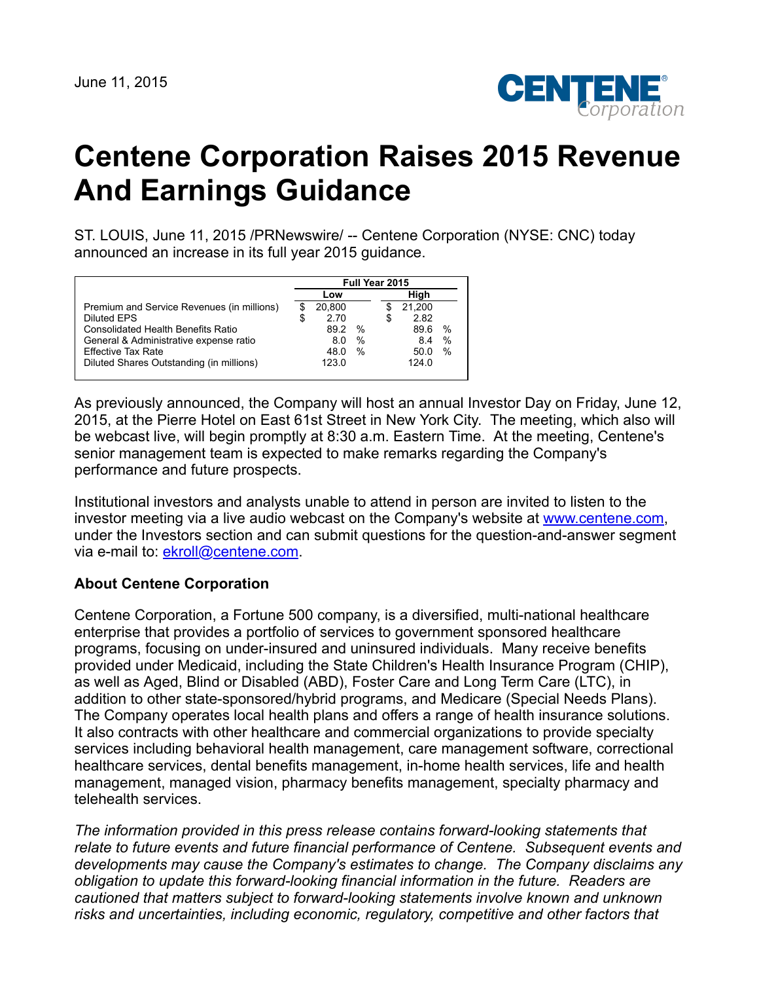

## **Centene Corporation Raises 2015 Revenue And Earnings Guidance**

ST. LOUIS, June 11, 2015 /PRNewswire/ -- Centene Corporation (NYSE: CNC) today announced an increase in its full year 2015 guidance.

|                                            | Full Year 2015 |        |      |    |        |               |
|--------------------------------------------|----------------|--------|------|----|--------|---------------|
|                                            | Low            |        |      |    | Hiah   |               |
| Premium and Service Revenues (in millions) |                | 20.800 |      |    | 21,200 |               |
| Diluted EPS                                | \$             | 2.70   |      | \$ | 2.82   |               |
| <b>Consolidated Health Benefits Ratio</b>  |                | 892    | $\%$ |    | 89.6   | $\%$          |
| General & Administrative expense ratio     |                | 8.0    | $\%$ |    | 8.4    | $\%$          |
| <b>Effective Tax Rate</b>                  |                | 48.0   | $\%$ |    | 50.0   | $\frac{0}{0}$ |
| Diluted Shares Outstanding (in millions)   |                | 123.0  |      |    | 124.0  |               |

As previously announced, the Company will host an annual Investor Day on Friday, June 12, 2015, at the Pierre Hotel on East 61st Street in New York City. The meeting, which also will be webcast live, will begin promptly at 8:30 a.m. Eastern Time. At the meeting, Centene's senior management team is expected to make remarks regarding the Company's performance and future prospects.

Institutional investors and analysts unable to attend in person are invited to listen to the investor meeting via a live audio webcast on the Company's website at [www.centene.com,](http://www.centene.com/) under the Investors section and can submit questions for the question-and-answer segment via e-mail to: [ekroll@centene.com.](mailto:ekroll@centene.com)

## **About Centene Corporation**

Centene Corporation, a Fortune 500 company, is a diversified, multi-national healthcare enterprise that provides a portfolio of services to government sponsored healthcare programs, focusing on under-insured and uninsured individuals. Many receive benefits provided under Medicaid, including the State Children's Health Insurance Program (CHIP), as well as Aged, Blind or Disabled (ABD), Foster Care and Long Term Care (LTC), in addition to other state-sponsored/hybrid programs, and Medicare (Special Needs Plans). The Company operates local health plans and offers a range of health insurance solutions. It also contracts with other healthcare and commercial organizations to provide specialty services including behavioral health management, care management software, correctional healthcare services, dental benefits management, in-home health services, life and health management, managed vision, pharmacy benefits management, specialty pharmacy and telehealth services.

*The information provided in this press release contains forward-looking statements that relate to future events and future financial performance of Centene. Subsequent events and developments may cause the Company's estimates to change. The Company disclaims any obligation to update this forward-looking financial information in the future. Readers are cautioned that matters subject to forward-looking statements involve known and unknown risks and uncertainties, including economic, regulatory, competitive and other factors that*